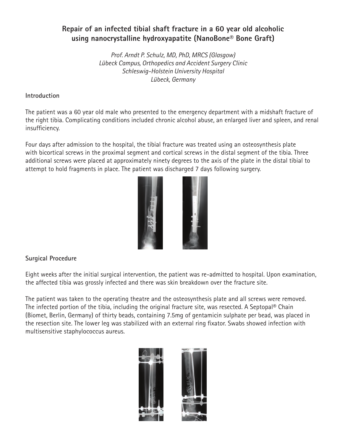## **Repair of an infected tibial shaft fracture in a 60 year old alcoholic using nanocrystalline hydroxyapatite (NanoBone® Bone Graft)**

*Prof. Arndt P. Schulz, MD, PhD, MRCS (Glasgow) Lübeck Campus, Orthopedics and Accident Surgery Clinic Schleswig-Holstein University Hospital Lübeck, Germany*

## **Introduction**

The patient was a 60 year old male who presented to the emergency department with a midshaft fracture of the right tibia. Complicating conditions included chronic alcohol abuse, an enlarged liver and spleen, and renal insufficiency.

Four days after admission to the hospital, the tibial fracture was treated using an osteosynthesis plate with bicortical screws in the proximal segment and cortical screws in the distal segment of the tibia. Three additional screws were placed at approximately ninety degrees to the axis of the plate in the distal tibial to attempt to hold fragments in place. The patient was discharged 7 days following surgery.



## **Surgical Procedure**

Eight weeks after the initial surgical intervention, the patient was re-admitted to hospital. Upon examination, the affected tibia was grossly infected and there was skin breakdown over the fracture site.

The patient was taken to the operating theatre and the osteosynthesis plate and all screws were removed. The infected portion of the tibia, including the original fracture site, was resected. A Septopal® Chain (Biomet, Berlin, Germany) of thirty beads, containing 7.5mg of gentamicin sulphate per bead, was placed in the resection site. The lower leg was stabilized with an external ring fixator. Swabs showed infection with multisensitive staphylococcus aureus.